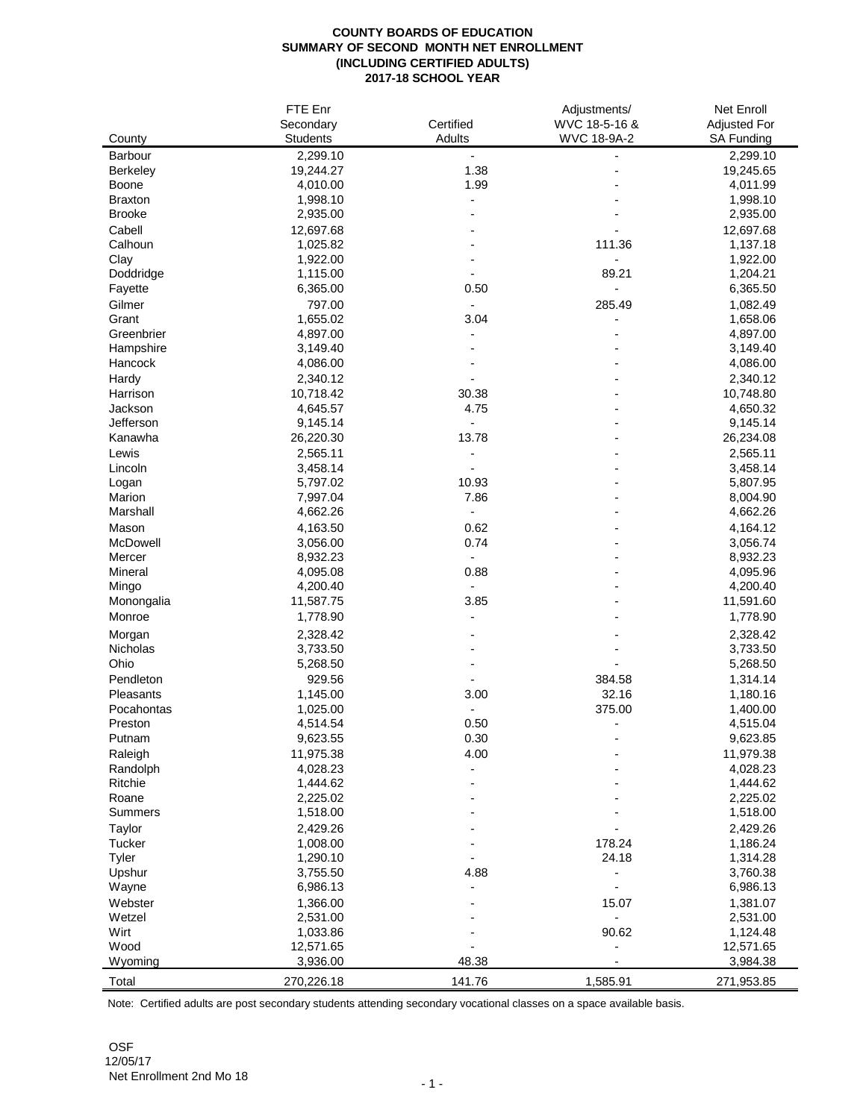## **COUNTY BOARDS OF EDUCATION SUMMARY OF SECOND MONTH NET ENROLLMENT (INCLUDING CERTIFIED ADULTS) 2017-18 SCHOOL YEAR**

|                    | FTE Enr         |                          | Adjustments/  | Net Enroll           |
|--------------------|-----------------|--------------------------|---------------|----------------------|
|                    | Secondary       | Certified                | WVC 18-5-16 & | Adjusted For         |
| County             | <b>Students</b> | Adults                   | WVC 18-9A-2   | SA Funding           |
| <b>Barbour</b>     | 2,299.10        |                          |               | 2,299.10             |
| <b>Berkeley</b>    | 19,244.27       | 1.38                     |               | 19,245.65            |
| Boone              | 4,010.00        | 1.99                     |               | 4,011.99             |
| <b>Braxton</b>     | 1,998.10        |                          |               | 1,998.10             |
| <b>Brooke</b>      | 2,935.00        |                          |               | 2,935.00             |
| Cabell             | 12,697.68       |                          |               | 12,697.68            |
| Calhoun            | 1,025.82        |                          | 111.36        | 1,137.18             |
| Clay               | 1,922.00        |                          |               | 1,922.00             |
| Doddridge          | 1,115.00        |                          | 89.21         | 1,204.21             |
| Fayette            | 6,365.00        | 0.50                     |               | 6,365.50             |
| Gilmer             | 797.00          |                          | 285.49        | 1,082.49             |
| Grant              | 1,655.02        | 3.04                     |               | 1,658.06             |
| Greenbrier         | 4,897.00        |                          |               | 4,897.00             |
| Hampshire          | 3,149.40        |                          |               | 3,149.40             |
| Hancock            | 4,086.00        |                          |               | 4,086.00             |
| Hardy              | 2,340.12        |                          |               | 2,340.12             |
| Harrison           | 10,718.42       | 30.38                    |               | 10,748.80            |
| Jackson            | 4,645.57        | 4.75                     |               | 4,650.32             |
| Jefferson          | 9,145.14        |                          |               | 9,145.14             |
| Kanawha            | 26,220.30       | 13.78                    |               | 26,234.08            |
| Lewis              | 2,565.11        | $\overline{\phantom{a}}$ |               | 2,565.11             |
| Lincoln            | 3,458.14        |                          |               | 3,458.14             |
| Logan              | 5,797.02        | 10.93                    |               | 5,807.95             |
| Marion             | 7,997.04        | 7.86                     |               | 8,004.90             |
| Marshall           | 4,662.26        | $\overline{a}$           |               | 4,662.26             |
| Mason              | 4,163.50        | 0.62                     |               | 4,164.12             |
| McDowell           | 3,056.00        | 0.74                     |               | 3,056.74             |
| Mercer             | 8,932.23        |                          |               | 8,932.23             |
| Mineral            | 4,095.08        | 0.88                     |               | 4,095.96             |
| Mingo              | 4,200.40        |                          |               | 4,200.40             |
| Monongalia         | 11,587.75       | 3.85                     |               | 11,591.60            |
| Monroe             | 1,778.90        |                          |               | 1,778.90             |
|                    | 2,328.42        |                          |               |                      |
| Morgan<br>Nicholas | 3,733.50        |                          |               | 2,328.42<br>3,733.50 |
| Ohio               | 5,268.50        |                          |               | 5,268.50             |
| Pendleton          |                 |                          |               |                      |
|                    | 929.56          |                          | 384.58        | 1,314.14             |
| Pleasants          | 1,145.00        | 3.00                     | 32.16         | 1,180.16             |
| Pocahontas         | 1,025.00        |                          | 375.00        | 1,400.00             |
| Preston            | 4,514.54        | 0.50                     |               | 4,515.04             |
| Putnam             | 9,623.55        | 0.30                     |               | 9,623.85             |
| Raleigh            | 11,975.38       | 4.00                     |               | 11,979.38            |
| Randolph           | 4,028.23        |                          |               | 4,028.23             |
| Ritchie            | 1,444.62        |                          |               | 1,444.62             |
| Roane              | 2,225.02        |                          |               | 2,225.02             |
| Summers            | 1,518.00        |                          |               | 1,518.00             |
| Taylor             | 2,429.26        |                          |               | 2,429.26             |
| Tucker             | 1,008.00        |                          | 178.24        | 1,186.24             |
| Tyler              | 1,290.10        |                          | 24.18         | 1,314.28             |
| Upshur             | 3,755.50        | 4.88                     |               | 3,760.38             |
| Wayne              | 6,986.13        |                          |               | 6,986.13             |
| Webster            | 1,366.00        |                          | 15.07         | 1,381.07             |
| Wetzel             | 2,531.00        |                          |               | 2,531.00             |
| Wirt               | 1,033.86        |                          | 90.62         | 1,124.48             |
| Wood               | 12,571.65       |                          |               | 12,571.65            |
| Wyoming            | 3,936.00        | 48.38                    |               | 3,984.38             |
| Total              | 270,226.18      | 141.76                   | 1,585.91      | 271,953.85           |

Note: Certified adults are post secondary students attending secondary vocational classes on a space available basis.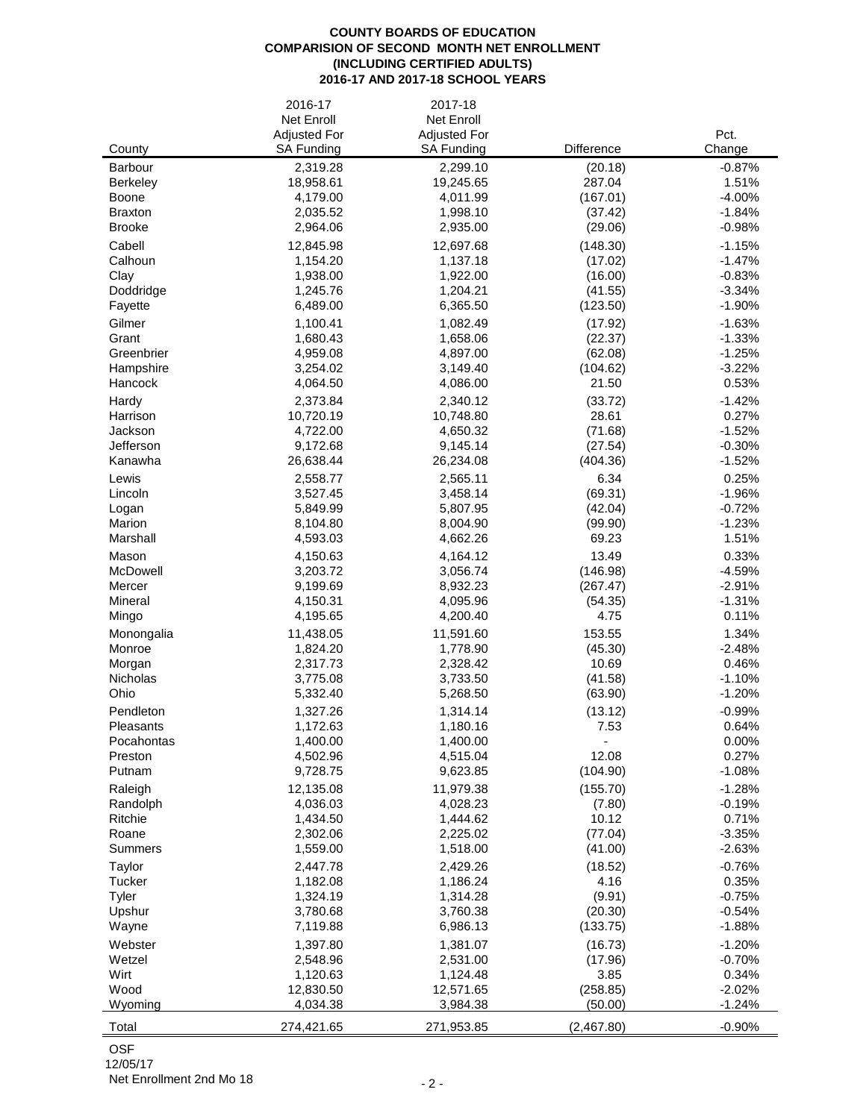## **COUNTY BOARDS OF EDUCATION COMPARISION OF SECOND MONTH NET ENROLLMENT (INCLUDING CERTIFIED ADULTS) 2016-17 AND 2017-18 SCHOOL YEARS**

|                                 | 2016-17<br>Net Enroll | 2017-18<br>Net Enroll |                    |                      |
|---------------------------------|-----------------------|-----------------------|--------------------|----------------------|
|                                 | <b>Adjusted For</b>   | <b>Adjusted For</b>   |                    | Pct.                 |
| County                          | SA Funding            | SA Funding            | Difference         | Change               |
| Barbour                         | 2,319.28              | 2,299.10              | (20.18)            | $-0.87%$             |
| Berkeley                        | 18,958.61             | 19,245.65             | 287.04             | 1.51%                |
| Boone                           | 4,179.00              | 4,011.99              | (167.01)           | $-4.00%$             |
| <b>Braxton</b><br><b>Brooke</b> | 2,035.52<br>2,964.06  | 1,998.10<br>2,935.00  | (37.42)<br>(29.06) | $-1.84%$<br>$-0.98%$ |
| Cabell                          | 12,845.98             | 12,697.68             | (148.30)           | $-1.15%$             |
| Calhoun                         | 1,154.20              | 1,137.18              | (17.02)            | $-1.47%$             |
| Clay                            | 1,938.00              | 1,922.00              | (16.00)            | $-0.83%$             |
| Doddridge                       | 1,245.76              | 1,204.21              | (41.55)            | $-3.34%$             |
| Fayette                         | 6,489.00              | 6,365.50              | (123.50)           | $-1.90%$             |
| Gilmer                          | 1,100.41              | 1,082.49              | (17.92)            | $-1.63%$             |
| Grant                           | 1,680.43              | 1,658.06              | (22.37)            | $-1.33%$             |
| Greenbrier                      | 4,959.08              | 4,897.00              | (62.08)            | $-1.25%$             |
| Hampshire                       | 3,254.02              | 3,149.40              | (104.62)           | $-3.22%$             |
| Hancock                         | 4,064.50              | 4,086.00              | 21.50              | 0.53%                |
| Hardy<br>Harrison               | 2,373.84<br>10,720.19 | 2,340.12<br>10,748.80 | (33.72)<br>28.61   | $-1.42%$<br>0.27%    |
| Jackson                         | 4,722.00              | 4,650.32              | (71.68)            | $-1.52%$             |
| Jefferson                       | 9,172.68              | 9,145.14              | (27.54)            | $-0.30%$             |
| Kanawha                         | 26,638.44             | 26,234.08             | (404.36)           | $-1.52%$             |
| Lewis                           | 2,558.77              | 2,565.11              | 6.34               | 0.25%                |
| Lincoln                         | 3,527.45              | 3,458.14              | (69.31)            | $-1.96%$             |
| Logan                           | 5,849.99              | 5,807.95              | (42.04)            | $-0.72%$             |
| Marion                          | 8,104.80              | 8,004.90              | (99.90)            | $-1.23%$             |
| Marshall                        | 4,593.03              | 4,662.26              | 69.23              | 1.51%                |
| Mason                           | 4,150.63              | 4,164.12              | 13.49              | 0.33%                |
| McDowell                        | 3,203.72              | 3,056.74              | (146.98)           | $-4.59%$             |
| Mercer                          | 9,199.69              | 8,932.23              | (267.47)           | $-2.91%$             |
| Mineral<br>Mingo                | 4,150.31<br>4,195.65  | 4,095.96<br>4,200.40  | (54.35)<br>4.75    | $-1.31%$<br>0.11%    |
| Monongalia                      | 11,438.05             | 11,591.60             | 153.55             | 1.34%                |
| Monroe                          | 1,824.20              | 1,778.90              | (45.30)            | $-2.48%$             |
| Morgan                          | 2,317.73              | 2,328.42              | 10.69              | 0.46%                |
| Nicholas                        | 3,775.08              | 3,733.50              | (41.58)            | $-1.10%$             |
| Ohio                            | 5,332.40              | 5,268.50              | (63.90)            | $-1.20%$             |
| Pendleton                       | 1,327.26              | 1,314.14              | (13.12)            | $-0.99%$             |
| Pleasants                       | 1,172.63              | 1,180.16              | 7.53               | 0.64%                |
| Pocahontas                      | 1,400.00              | 1,400.00              |                    | 0.00%                |
| Preston<br>Putnam               | 4,502.96<br>9,728.75  | 4,515.04<br>9,623.85  | 12.08<br>(104.90)  | 0.27%                |
|                                 | 12,135.08             |                       |                    | $-1.08%$             |
| Raleigh<br>Randolph             | 4,036.03              | 11,979.38<br>4,028.23 | (155.70)<br>(7.80) | $-1.28%$<br>$-0.19%$ |
| Ritchie                         | 1,434.50              | 1,444.62              | 10.12              | 0.71%                |
| Roane                           | 2,302.06              | 2,225.02              | (77.04)            | $-3.35%$             |
| <b>Summers</b>                  | 1,559.00              | 1,518.00              | (41.00)            | $-2.63%$             |
| Taylor                          | 2,447.78              | 2,429.26              | (18.52)            | $-0.76%$             |
| Tucker                          | 1,182.08              | 1,186.24              | 4.16               | 0.35%                |
| Tyler                           | 1,324.19              | 1,314.28              | (9.91)             | $-0.75%$             |
| Upshur                          | 3,780.68              | 3,760.38              | (20.30)            | $-0.54%$             |
| Wayne                           | 7,119.88              | 6,986.13              | (133.75)           | $-1.88%$             |
| Webster                         | 1,397.80              | 1,381.07              | (16.73)            | $-1.20%$             |
| Wetzel<br>Wirt                  | 2,548.96<br>1,120.63  | 2,531.00<br>1,124.48  | (17.96)<br>3.85    | $-0.70%$<br>0.34%    |
| Wood                            | 12,830.50             | 12,571.65             | (258.85)           | $-2.02%$             |
| Wyoming                         | 4,034.38              | 3,984.38              | (50.00)            | $-1.24%$             |
|                                 |                       |                       |                    |                      |
| Total                           | 274,421.65            | 271,953.85            | (2,467.80)         | $-0.90%$             |

OSF

12/05/17

Net Enrollment 2nd Mo 18 - 2 -